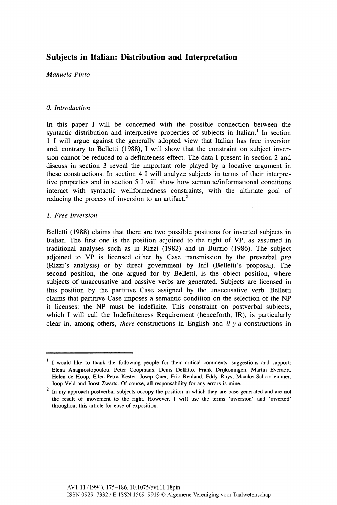# **Subjects in Italian: Distribution and Interpretation**

*Manuela Pinto* 

## *0. Introduction*

In this paper I will be concerned with the possible connection between the syntactic distribution and interpretive properties of subjects in Italian.<sup>1</sup> In section 1 I will argue against the generally adopted view that Italian has free inversion and, contrary to Belletti (1988), I will show that the constraint on subject inversion cannot be reduced to a definiteness effect. The data I present in section 2 and discuss in section 3 reveal the important role played by a locative argument in these constructions. In section 4 I will analyze subjects in terms of their interpretive properties and in section 5 I will show how semantic/informational conditions interact with syntactic wellformedness constraints, with the ultimate goal of reducing the process of inversion to an artifact.<sup>2</sup>

## *1. Free Inversion*

Belletti (1988) claims that there are two possible positions for inverted subjects in Italian. The first one is the position adjoined to the right of VP, as assumed in traditional analyses such as in Rizzi (1982) and in Burzio (1986). The subject adjoined to VP is licensed either by Case transmission by the preverbal *pro*  (Rizzi's analysis) or by direct government by Infl (Belletti's proposal). The second position, the one argued for by Belletti, is the object position, where subjects of unaccusative and passive verbs are generated. Subjects are licensed in this position by the partitive Case assigned by the unaccusative verb. Belletti claims that partitive Case imposes a semantic condition on the selection of the NP it licenses: the NP must be indefinite. This constraint on postverbal subjects, which I will call the Indefiniteness Requirement (henceforth, IR), is particularly clear in, among others, *there*-constructions in English and *il-y*-*a*-constructions in

I would like to thank the following people for their critical comments, suggestions and support: Elena Anagnostopoulou, Peter Coopmans, Denis Delfitto, Frank Drijkoningen, Martin Everaert, Helen de Hoop, Ellen-Petra Kester, Josep Quer, Eric Reuland, Eddy Ruys, Maaike Schoorlemmer, Joop Veld and Joost Zwarts. Of course, all responsability for any errors is mine.

In my approach postverbal subjects occupy the position in which they are base-generated and are not the result of movement to the right. However, I will use the terms 'inversion' and 'inverted' throughout this article for ease of exposition.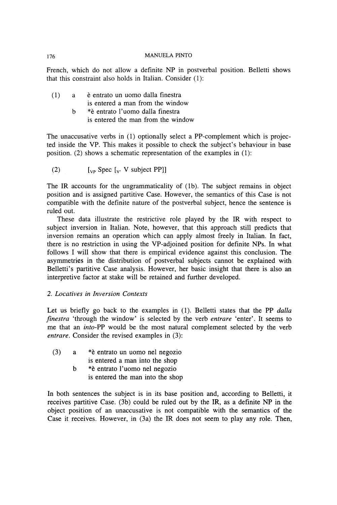French, which do not allow a definite NP in postverbal position. Belletti shows that this constraint also holds in Italian. Consider (1):

| (1) | a | è entrato un uomo dalla finestra |  |
|-----|---|----------------------------------|--|
|     |   | is entered a man from the window |  |
|     |   | *è entrato l'uomo dalla finestra |  |

is entered the man from the window

The unaccusative verbs in (1) optionally select a PP-complement which is projected inside the VP. This makes it possible to check the subject's behaviour in base position. (2) shows a schematic representation of the examples in (1):

(2)  $\left[\begin{matrix} \n\mathbf{v}_P \end{matrix}\right]$  Spec  $\left[\begin{matrix} \n\mathbf{v}_P \end{matrix}\right]$  V subject PP]]

The IR accounts for the ungrammaticality of (lb). The subject remains in object position and is assigned partitive Case. However, the semantics of this Case is not compatible with the definite nature of the postverbal subject, hence the sentence is ruled out.

These data illustrate the restrictive role played by the IR with respect to subject inversion in Italian. Note, however, that this approach still predicts that inversion remains an operation which can apply almost freely in Italian. In fact, there is no restriction in using the VP-adjoined position for definite NPs. In what follows I will show that there is empirical evidence against this conclusion. The asymmetries in the distribution of postverbal subjects cannot be explained with Belletti's partitive Case analysis. However, her basic insight that there is also an interpretive factor at stake will be retained and further developed.

## 2. *Locatives in Inversion Contexts*

Let us briefly go back to the examples in (1). Belletti states that the PP *dalla finestra* 'through the window' is selected by the verb *entrare* 'enter'. It seems to me that an *into-*PP would be the most natural complement selected by the verb *entrare.* Consider the revised examples in (3):

| (3) | *è entrato un uomo nel negozio |
|-----|--------------------------------|
|     | is entered a man into the shop |

b \*è entrato l'uomo nel negozio is entered the man into the shop

In both sentences the subject is in its base position and, according to Belletti, it receives partitive Case. (3b) could be ruled out by the IR, as a definite NP in the object position of an unaccusative is not compatible with the semantics of the Case it receives. However, in (3a) the IR does not seem to play any role. Then,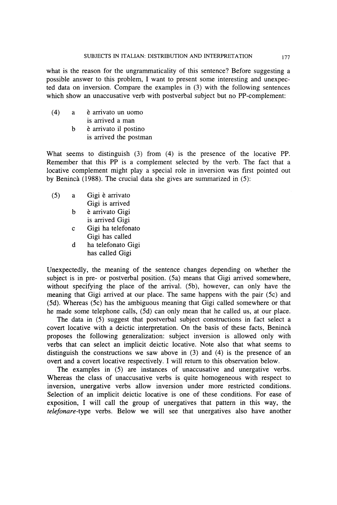what is the reason for the ungrammaticality of this sentence? Before suggesting a possible answer to this problem, I want to present some interesting and unexpected data on inversion. Compare the examples in (3) with the following sentences which show an unaccusative verb with postverbal subject but no PP-complement:

(4) a è arrivato un uomo is arrived a man b è arrivato il postino is arrived the postman

What seems to distinguish (3) from (4) is the presence of the locative PP. Remember that this PP is a complement selected by the verb. The fact that a locative complement might play a special role in inversion was first pointed out by Benincà (1988). The crucial data she gives are summarized in (5):

- (5) a Gigi è arrivato Gigi is arrived
	- b è arrivato Gigi is arrived Gigi
	- c Gigi ha telefonato Gigi has called
	- d ha telefonato Gigi has called Gigi

Unexpectedly, the meaning of the sentence changes depending on whether the subject is in pre- or postverbal position. (5a) means that Gigi arrived somewhere, without specifying the place of the arrival. (5b), however, can only have the meaning that Gigi arrived at our place. The same happens with the pair (5c) and (5d). Whereas (5c) has the ambiguous meaning that Gigi called somewhere or that he made some telephone calls, (5d) can only mean that he called us, at our place.

The data in (5) suggest that postverbal subject constructions in fact select a covert locative with a deictic interpretation. On the basis of these facts, Benincà proposes the following generalization: subject inversion is allowed only with verbs that can select an implicit deictic locative. Note also that what seems to distinguish the constructions we saw above in (3) and (4) is the presence of an overt and a covert locative respectively. I will return to this observation below.

The examples in (5) are instances of unaccusative and unergative verbs. Whereas the class of unaccusative verbs is quite homogeneous with respect to inversion, unergative verbs allow inversion under more restricted conditions. Selection of an implicit deictic locative is one of these conditions. For ease of exposition, I will call the group of unergatives that pattern in this way, the *telefonare-*type verbs. Below we will see that unergatives also have another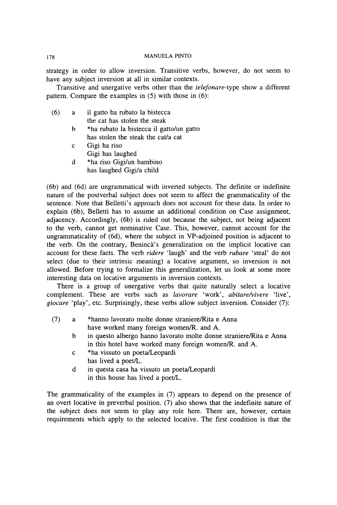strategy in order to allow inversion. Transitive verbs, however, do not seem to have any subject inversion at all in similar contexts.

Transitive and unergative verbs other than the *telefonare-*type show a different pattern. Compare the examples in (5) with those in (6):

- (6) a il gatto ha rubato la bistecca the cat has stolen the steak
	- b \*ha rubato la bistecca il gatto/un gatto has stolen the steak the cat/a cat
	- c Gigi ha riso Gigi has laughed
	- d \*ha riso Gigi/un bambino has laughed Gigi/a child

(6b) and (6d) are ungrammatical with inverted subjects. The definite or indefinite nature of the postverbal subject does not seem to affect the grammaticality of the sentence. Note that Belletti's approach does not account for these data. In order to explain (6b), Belletti has to assume an additional condition on Case assignment, adjacency. Accordingly, (6b) is ruled out because the subject, not being adjacent to the verb, cannot get nominative Case. This, however, cannot account for the ungrammaticality of (6d), where the subject in VP-adjoined position is adjacent to the verb. On the contrary, Benincà's generalization on the implicit locative can account for these facts. The verb *ridere* 'laugh' and the verb *rubare* 'steal' do not select (due to their intrinsic meaning) a locative argument, so inversion is not allowed. Before trying to formalize this generalization, let us look at some more interesting data on locative arguments in inversion contexts.

There is a group of unergative verbs that quite naturally select a locative complement. These are verbs such as *lavorare* 'work', *abitare/vivere* 'live', *giocare* 'play', etc. Surprisingly, these verbs allow subject inversion. Consider (7):

- (7) a \*hanno lavorato molte donne straniere/Rita e Anna have worked many foreign women/R. and A.
	- b in questo albergo hanno lavorato molte donne straniere/Rita e Anna in this hotel have worked many foreign women/R. and A.
	- c \*ha vissuto un poeta/Leopardi has lived a poet/L.
	- d in questa casa ha vissuto un poeta/Leopardi in this house has lived a poet/L.

The grammaticality of the examples in (7) appears to depend on the presence of an overt locative in preverbal position. (7) also shows that the indefinite nature of the subject does not seem to play any role here. There are, however, certain requirements which apply to the selected locative. The first condition is that the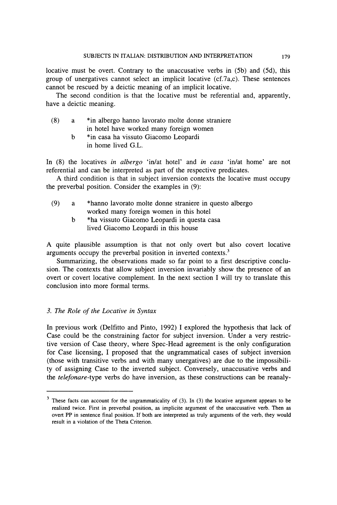locative must be overt. Contrary to the unaccusative verbs in (5b) and (5d), this group of unergatives cannot select an implicit locative  $(cf.7a.c)$ . These sentences cannot be rescued by a deictic meaning of an implicit locative.

The second condition is that the locative must be referential and, apparently, have a deictic meaning.

- (8) a \*in albergo hanno lavorato molte donne straniere in hotel have worked many foreign women
	- b \*in casa ha vissuto Giacomo Leopardi in home lived G.L.

In (8) the locatives *in albergo* 'in/at hotel' and *in casa* 'in/at home' are not referential and can be interpreted as part of the respective predicates.

A third condition is that in subject inversion contexts the locative must occupy the preverbal position. Consider the examples in (9):

- (9) a \*hanno lavorato molte donne straniere in questo albergo worked many foreign women in this hotel
	- b \*ha vissuto Giacomo Leopardi in questa casa lived Giacomo Leopardi in this house

A quite plausible assumption is that not only overt but also covert locative arguments occupy the preverbal position in inverted contexts.<sup>3</sup>

Summarizing, the observations made so far point to a first descriptive conclusion. The contexts that allow subject inversion invariably show the presence of an overt or covert locative complement. In the next section I will try to translate this conclusion into more formal terms.

## *3. The Role of the Locative in Syntax*

In previous work (Delfitto and Pinto, 1992) I explored the hypothesis that lack of Case could be the constraining factor for subject inversion. Under a very restrictive version of Case theory, where Spec-Head agreement is the only configuration for Case licensing, I proposed that the ungrammatical cases of subject inversion (those with transitive verbs and with many unergatives) are due to the impossibility of assigning Case to the inverted subject. Conversely, unaccusative verbs and the *telefonare-*type verbs do have inversion, as these constructions can be reanaly-

<sup>3</sup> These facts can account for the ungrammatically of (3). In (3) the locative argument appears to be realized twice. First in preverbal position, as implicite argument of the unaccusative verb. Then as overt PP in sentence final position. If both are interpreted as truly arguments of the verb, they would result in a violation of the Theta Criterion.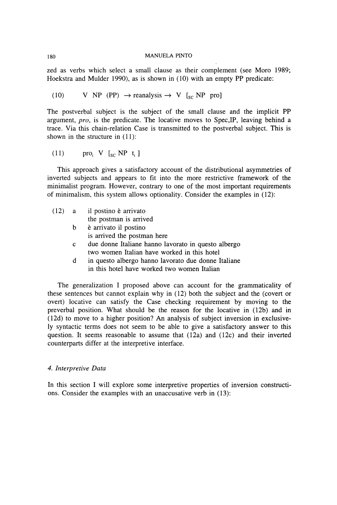zed as verbs which select a small clause as their complement (see Moro 1989; Hoekstra and Mulder 1990), as is shown in (10) with an empty PP predicate:

(10) V NP (PP)  $\rightarrow$  reanalysis  $\rightarrow$  V [<sub>sc</sub> NP pro]

The postverbal subject is the subject of the small clause and the implicit PP argument, *pro,* is the predicate. The locative moves to Spec,IP, leaving behind a trace. Via this chain-relation Case is transmitted to the postverbal subject. This is shown in the structure in (11):

(11)  $\qquad \text{pro}_i \quad V \quad [{}_{\text{sc}} \text{NP} \quad t_i \quad ]$ 

This approach gives a satisfactory account of the distributional asymmetries of inverted subjects and appears to fit into the more restrictive framework of the minimalist program. However, contrary to one of the most important requirements of minimalism, this system allows optionality. Consider the examples in (12):

|   | $(12)$ a il postino è arrivato                                                                     |
|---|----------------------------------------------------------------------------------------------------|
|   | the postman is arrived                                                                             |
|   | b è arrivato il postino                                                                            |
|   | is arrived the postman here                                                                        |
| c | due donne Italiane hanno lavorato in questo albergo<br>two women Italian have worked in this hotel |
| d | in questo albergo hanno lavorato due donne Italiane<br>in this hotel have worked two women Italian |
|   |                                                                                                    |

The generalization I proposed above can account for the grammaticality of these sentences but cannot explain why in (12) both the subject and the (covert or overt) locative can satisfy the Case checking requirement by moving to the preverbal position. What should be the reason for the locative in (12b) and in (12d) to move to a higher position? An analysis of subject inversion in exclusively syntactic terms does not seem to be able to give a satisfactory answer to this question. It seems reasonable to assume that (12a) and (12c) and their inverted counterparts differ at the interpretive interface.

### *4. Interpretive Data*

In this section I will explore some interpretive properties of inversion constructions. Consider the examples with an unaccusative verb in (13):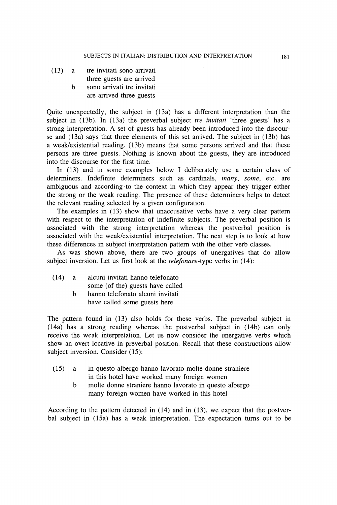- (13) a tre invitati sono arrivati three guests are arrived
	- b sono arrivati tre invitati are arrived three guests

Quite unexpectedly, the subject in (13a) has a different interpretation than the subject in (13b). In (13a) the preverbal subject *tre invitati* 'three guests' has a strong interpretation. A set of guests has already been introduced into the discourse and (13a) says that three elements of this set arrived. The subject in (13b) has a weak/existential reading. (13b) means that some persons arrived and that these persons are three guests. Nothing is known about the guests, they are introduced into the discourse for the first time.

In (13) and in some examples below I deliberately use a certain class of determiners. Indefinite determiners such as cardinals, *many, some,* etc. are ambiguous and according to the context in which they appear they trigger either the strong or the weak reading. The presence of these determiners helps to detect the relevant reading selected by a given configuration.

The examples in (13) show that unaccusative verbs have a very clear pattern with respect to the interpretation of indefinite subjects. The preverbal position is associated with the strong interpretation whereas the postverbal position is associated with the weak/existential interpretation. The next step is to look at how these differences in subject interpretation pattern with the other verb classes.

As was shown above, there are two groups of unergatives that do allow subject inversion. Let us first look at the *telefonare*-type verbs in (14):

- (14) a alcuni invitati hanno telefonato some (of the) guests have called b hanno telefonato alcuni invitati
	- have called some guests here

The pattern found in (13) also holds for these verbs. The preverbal subject in (14a) has a strong reading whereas the postverbal subject in (14b) can only receive the weak interpretation. Let us now consider the unergative verbs which show an overt locative in preverbal position. Recall that these constructions allow subject inversion. Consider (15):

- (15) a in questo albergo hanno lavorato molte donne straniere in this hotel have worked many foreign women
	- b molte donne straniere hanno lavorato in questo albergo many foreign women have worked in this hotel

According to the pattern detected in (14) and in (13), we expect that the postverbal subject in (15a) has a weak interpretation. The expectation turns out to be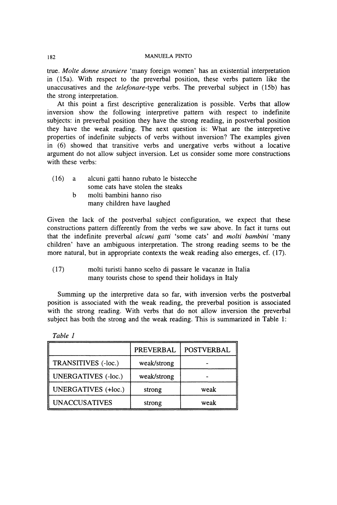true. *Molte donne straniere* 'many foreign women' has an existential interpretation in (15a). With respect to the preverbal position, these verbs pattern like the unaccusatives and the *telefonare-type* verbs. The preverbal subject in (15b) has the strong interpretation.

At this point a first descriptive generalization is possible. Verbs that allow inversion show the following interpretive pattern with respect to indefinite subjects: in preverbal position they have the strong reading, in postverbal position they have the weak reading. The next question is: What are the interpretive properties of indefinite subjects of verbs without inversion? The examples given in (6) showed that transitive verbs and unergative verbs without a locative argument do not allow subject inversion. Let us consider some more constructions with these verbs:

- (16) a alcuni gatti hanno rubato le bistecche some cats have stolen the steaks
	- b molti bambini hanno riso many children have laughed

Given the lack of the postverbal subject configuration, we expect that these constructions pattern differently from the verbs we saw above. In fact it turns out that the indefinite preverbal *alcuni gatti* 'some cats' and *molti bambini* 'many children' have an ambiguous interpretation. The strong reading seems to be the more natural, but in appropriate contexts the weak reading also emerges, cf. (17).

(17) molti turisti hanno scelto di passare le vacanze in Italia many tourists chose to spend their holidays in Italy

Summing up the interpretive data so far, with inversion verbs the postverbal position is associated with the weak reading, the preverbal position is associated with the strong reading. With verbs that do not allow inversion the preverbal subject has both the strong and the weak reading. This is summarized in Table 1:

|                            | <b>PREVERBAL</b> | <b>POSTVERBAL</b> |
|----------------------------|------------------|-------------------|
| TRANSITIVES (-loc.)        | weak/strong      |                   |
| <b>UNERGATIVES</b> (-loc.) | weak/strong      |                   |
| <b>UNERGATIVES</b> (+loc.) | strong           | weak              |
| <b>UNACCUSATIVES</b>       | strong           | weak              |

*Table 1*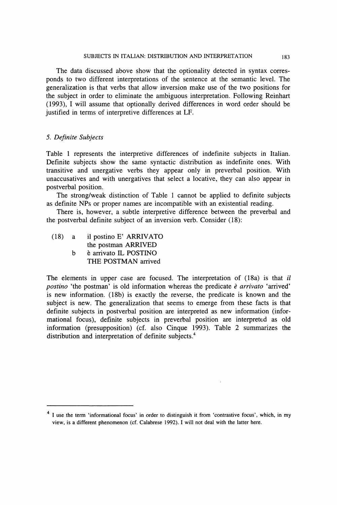The data discussed above show that the optionality detected in syntax corresponds to two different interpretations of the sentence at the semantic level. The generalization is that verbs that allow inversion make use of the two positions for the subject in order to eliminate the ambiguous interpretation. Following Reinhart (1993), I will assume that optionally derived differences in word order should be justified in terms of interpretive differences at LF.

## 5. *Definite Subjects*

Table 1 represents the interpretive differences of indefinite subjects in Italian. Definite subjects show the same syntactic distribution as indefinite ones. With transitive and unergative verbs they appear only in preverbal position. With unaccusatives and with unergatives that select a locative, they can also appear in postverbal position.

The strong/weak distinction of Table 1 cannot be applied to definite subjects as definite NPs or proper names are incompatible with an existential reading.

There is, however, a subtle interpretive difference between the preverbal and the postverbal definite subject of an inversion verb. Consider (18):

(18) a il postino E' ARRIVATO the postman ARRIVED b è arrivato IL POSTINO THE POSTMAN arrived

The elements in upper case are focused. The interpretation of (18a) is that *il postino* 'the postman' is old information whereas the predicate *è arrivato* 'arrived' is new information. (18b) is exactly the reverse, the predicate is known and the subject is new. The generalization that seems to emerge from these facts is that definite subjects in postverbal position are interpreted as new information (informational focus), definite subjects in preverbal position are interpreted as old information (presupposition) (cf. also Cinque 1993). Table 2 summarizes the distribution and interpretation of definite subjects.<sup>4</sup>

<sup>&</sup>lt;sup>4</sup> I use the term 'informational focus' in order to distinguish it from 'contrastive focus', which, in my **view, is a different phenomenon (cf. Calabrese 1992). I will not deal with the latter here.**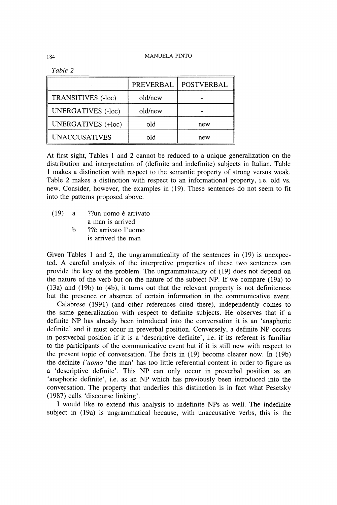|                           | PREVERBAL | <b>POSTVERBAL</b> |
|---------------------------|-----------|-------------------|
| TRANSITIVES (-loc)        | old/new   |                   |
| <b>UNERGATIVES</b> (-loc) | old/new   |                   |
| <b>UNERGATIVES</b> (+loc) | old       | new               |
| <b>UNACCUSATIVES</b>      | old       | new               |

*Table 2* 

At first sight, Tables 1 and 2 cannot be reduced to a unique generalization on the distribution and interpretation of (definite and indefinite) subjects in Italian. Table 1 makes a distinction with respect to the semantic property of strong versus weak. Table 2 makes a distinction with respect to an informational property, i.e. old vs. new. Consider, however, the examples in (19). These sentences do not seem to fit into the patterns proposed above.

(19) a ??un uomo è arrivato a man is arrived b ??è arrivato l'uomo is arrived the man

Given Tables 1 and 2, the ungrammaticality of the sentences in (19) is unexpected. A careful analysis of the interpretive properties of these two sentences can provide the key of the problem. The ungrammaticality of (19) does not depend on the nature of the verb but on the nature of the subject NP. If we compare (19a) to (13a) and (19b) to (4b), it turns out that the relevant property is not definiteness but the presence or absence of certain information in the communicative event.

Calabrese (1991) (and other references cited there), independently comes to the same generalization with respect to definite subjects. He observes that if a definite NP has already been introduced into the conversation it is an 'anaphoric definite' and it must occur in preverbal position. Conversely, a definite NP occurs in postverbal position if it is a 'descriptive definite', i.e. if its referent is familiar to the participants of the communicative event but if it is still new with respect to the present topic of conversation. The facts in (19) become clearer now. In (19b) the definite *l'uomo* 'the man' has too little referential content in order to figure as a 'descriptive definite'. This NP can only occur in preverbal position as an 'anaphoric definite', i.e. as an NP which has previously been introduced into the conversation. The property that underlies this distinction is in fact what Pesetsky (1987) calls 'discourse linking'.

I would like to extend this analysis to indefinite NPs as well. The indefinite subject in (19a) is ungrammatical because, with unaccusative verbs, this is the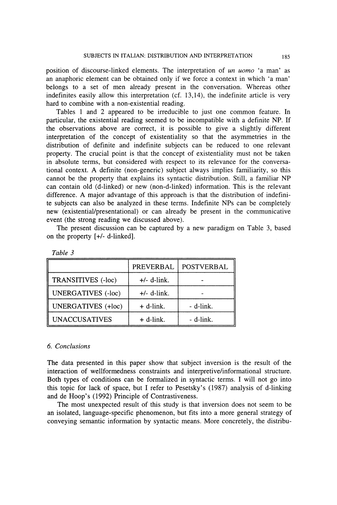position of discourse-linked elements. The interpretation of *un uomo* 'a man' as an anaphoric element can be obtained only if we force a context in which 'a man' belongs to a set of men already present in the conversation. Whereas other indefinites easily allow this interpretation (cf. 13,14), the indefinite article is very hard to combine with a non-existential reading.

Tables 1 and 2 appeared to be irreducible to just one common feature. In particular, the existential reading seemed to be incompatible with a definite NP. If the observations above are correct, it is possible to give a slightly different interpretation of the concept of existentiality so that the asymmetries in the distribution of definite and indefinite subjects can be reduced to one relevant property. The crucial point is that the concept of existentiality must not be taken in absolute terms, but considered with respect to its relevance for the conversational context. A definite (non-generic) subject always implies familiarity, so this cannot be the property that explains its syntactic distribution. Still, a familiar NP can contain old (d-linked) or new (non-d-linked) information. This is the relevant difference. A major advantage of this approach is that the distribution of indefinite subjects can also be analyzed in these terms. Indefinite NPs can be completely new (existential/presentational) or can already be present in the communicative event (the strong reading we discussed above).

The present discussion can be captured by a new paradigm on Table 3, based on the property [+/- d-linked].

|                           | <b>PREVERBAL</b> | <b>POSTVERBAL</b> |
|---------------------------|------------------|-------------------|
| TRANSITIVES (-loc)        | $+/-$ d-link.    |                   |
| <b>UNERGATIVES</b> (-loc) | $+/-$ d-link.    |                   |
| <b>UNERGATIVES</b> (+loc) | $+$ d-link.      | - d-link.         |
| <b>UNACCUSATIVES</b>      | $+$ d-link.      | - d-link.         |

*Table 3* 

## *6. Conclusions*

The data presented in this paper show that subject inversion is the result of the interaction of wellformedness constraints and interpretive/informational structure. Both types of conditions can be formalized in syntactic terms. I will not go into this topic for lack of space, but I refer to Pesetsky's (1987) analysis of d-linking and de Hoop's (1992) Principle of Contrastiveness.

The most unexpected result of this study is that inversion does not seem to be an isolated, language-specific phenomenon, but fits into a more general strategy of conveying semantic information by syntactic means. More concretely, the distribu-